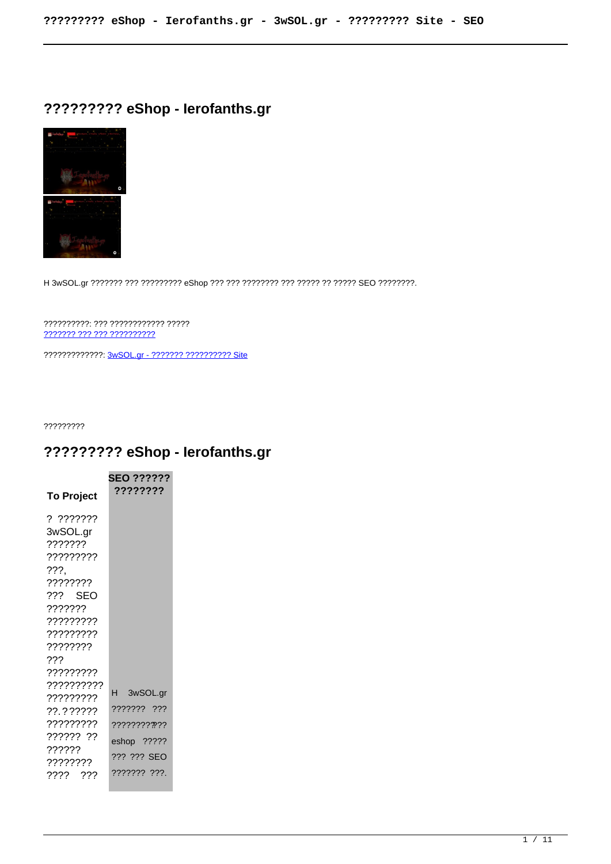## ????????? eShop - lerofanths.gr



H 3wSOL.gr ??????? ??? ????????? eShop ??? ??? ??????? ??? ????? ?? ????? SEO ????????.

## 

????????????? 3wSOL.gr - ??????? ?????????? Site

?????????

## ????????? eShop - lerofanths.gr

|                                                                                                                                      | <b>SEO ??????</b>                                                                      |  |  |  |  |  |
|--------------------------------------------------------------------------------------------------------------------------------------|----------------------------------------------------------------------------------------|--|--|--|--|--|
| <b>To Project</b>                                                                                                                    | ????????                                                                               |  |  |  |  |  |
| ? ???????<br>3wSOL.gr<br>7777777<br>?????????<br>???.<br>????????<br>??? SEO<br>7777777<br>?????????<br>777777777<br>77777777<br>777 |                                                                                        |  |  |  |  |  |
| ?????????<br>??????????<br>?????????<br>??.??????<br>?????????<br>777777 77<br>777777<br>????????<br>???? ???                        | H 3wSOL.gr<br>??????? ???<br>77777777777<br>eshop ?????<br>??? ??? SEO<br>??????? ???. |  |  |  |  |  |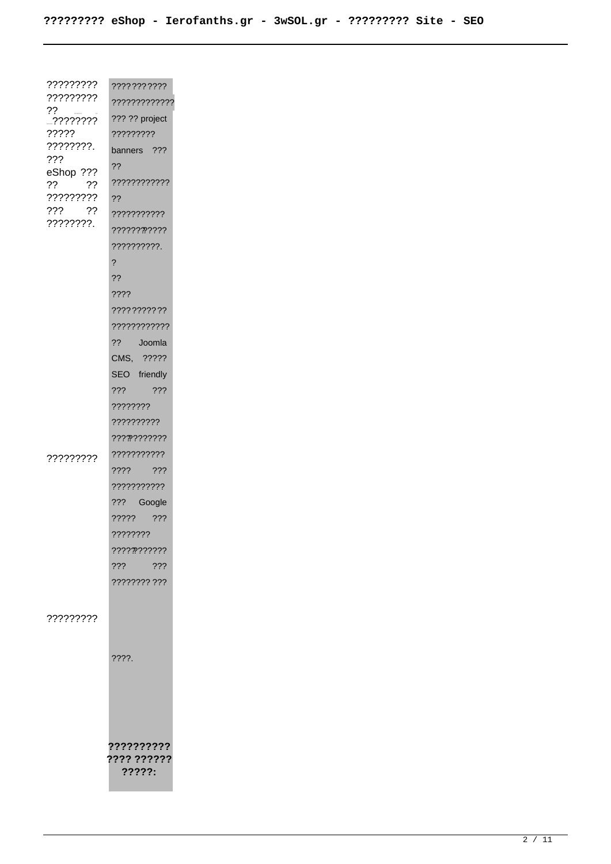| ?????????             | ???????????                                                                    |
|-----------------------|--------------------------------------------------------------------------------|
| ?????????             | ?????????????                                                                  |
| ??<br>????????        | ??? ?? project                                                                 |
| ?????                 | ?????????                                                                      |
| ????????.             | banners ???                                                                    |
| ???                   | ??                                                                             |
| eShop ???             | ????????????                                                                   |
| ??<br>??<br>????????? | ??                                                                             |
| ???<br>-??            |                                                                                |
| ????????.             | ???????????                                                                    |
|                       | ????????????                                                                   |
|                       | ??????????.                                                                    |
|                       | ?                                                                              |
|                       | ??                                                                             |
|                       | ????                                                                           |
|                       | ???????????                                                                    |
|                       | ????????????                                                                   |
|                       | ??<br>- Joomla                                                                 |
|                       | CMS, ?????                                                                     |
|                       | <b>SEO</b><br>friendly                                                         |
|                       | ???<br>222                                                                     |
|                       | ????????                                                                       |
|                       | ??????????                                                                     |
|                       | ???????????                                                                    |
| ?????????             | ???????????                                                                    |
|                       | ????<br>???                                                                    |
|                       | ???????????                                                                    |
|                       | ???<br>Google                                                                  |
|                       | $??\,\!\begin{array}{cc}\n??\,\!\begin{array}{cc}\n??\end{array}\n\end{array}$ |
|                       | ????????                                                                       |
|                       | ???????????                                                                    |
|                       | ???<br>???                                                                     |
|                       | ???????? ???                                                                   |
|                       |                                                                                |
| ?????????             |                                                                                |
|                       |                                                                                |
|                       |                                                                                |
|                       | ????.                                                                          |
|                       |                                                                                |
|                       |                                                                                |
|                       |                                                                                |
|                       |                                                                                |
|                       | ??????????                                                                     |
|                       | ???? ??????                                                                    |
|                       | 7777?                                                                          |
|                       |                                                                                |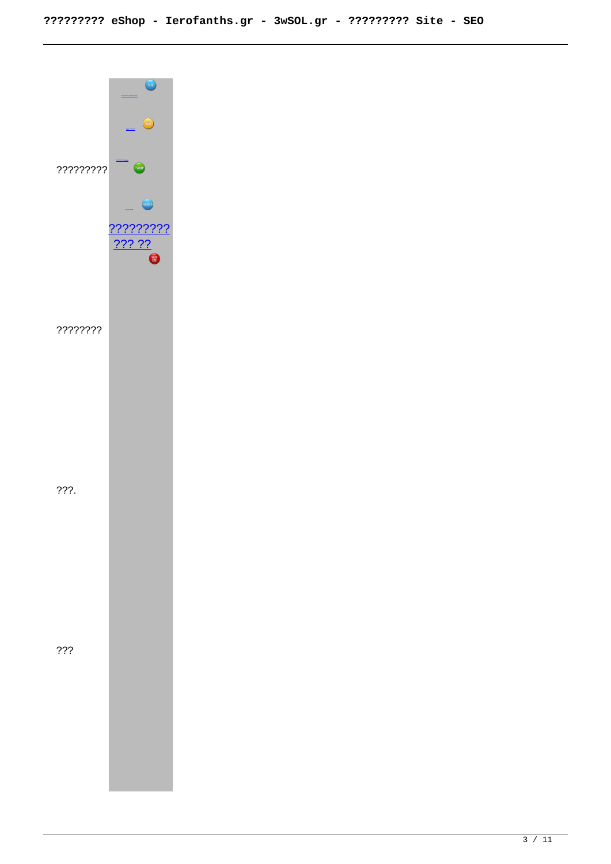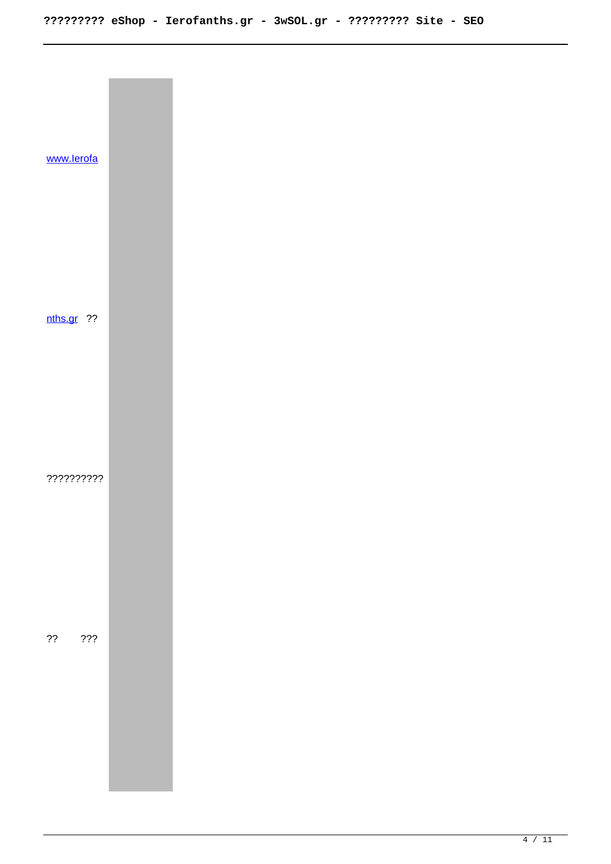| www.lerofa |  |  |  |
|------------|--|--|--|
| nths.gr ?? |  |  |  |
| ?????????? |  |  |  |
| ???<br>??  |  |  |  |
|            |  |  |  |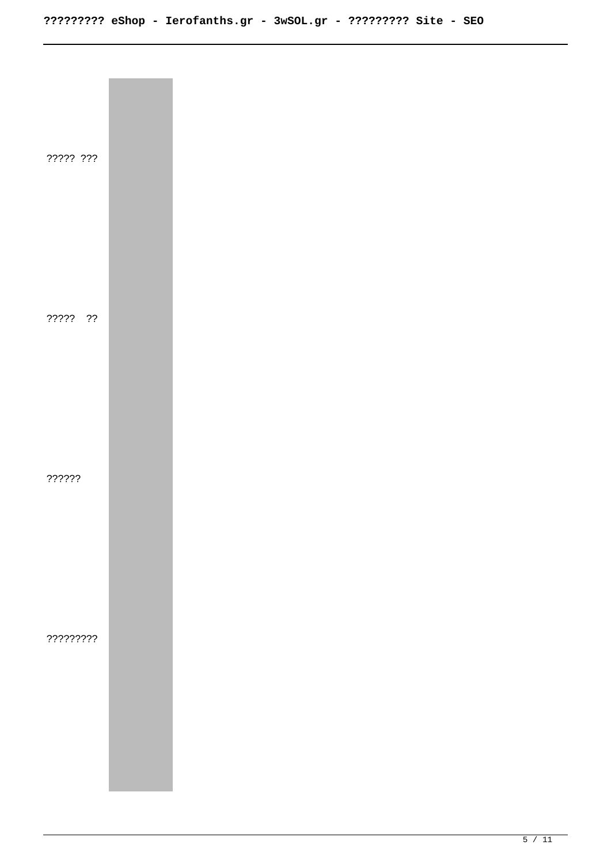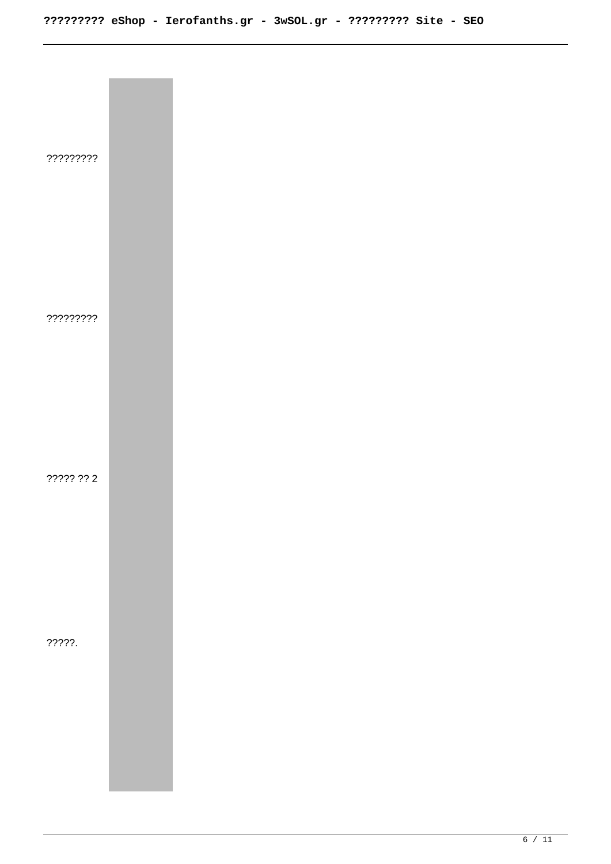| ?????????  |  |  |  |  |
|------------|--|--|--|--|
| ?????????  |  |  |  |  |
| ????? ?? 2 |  |  |  |  |
| ?????.     |  |  |  |  |
|            |  |  |  |  |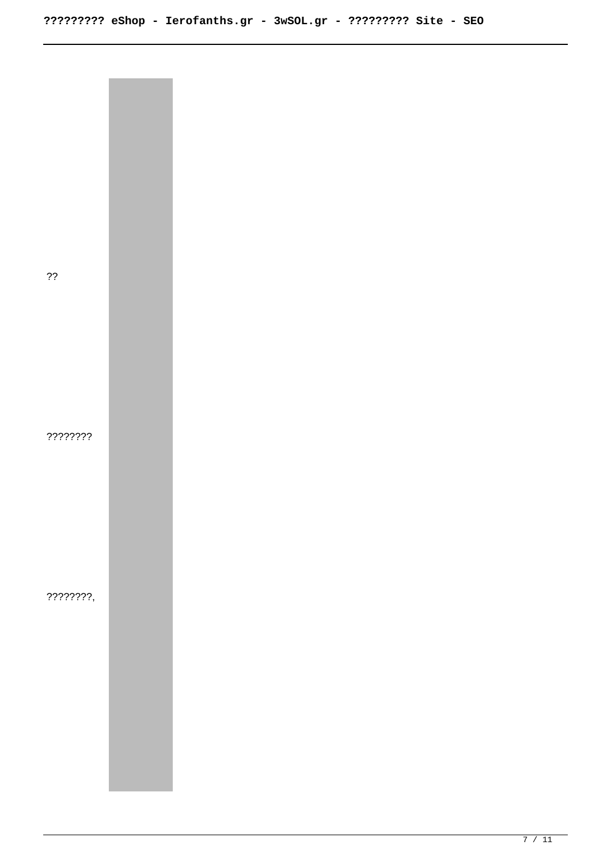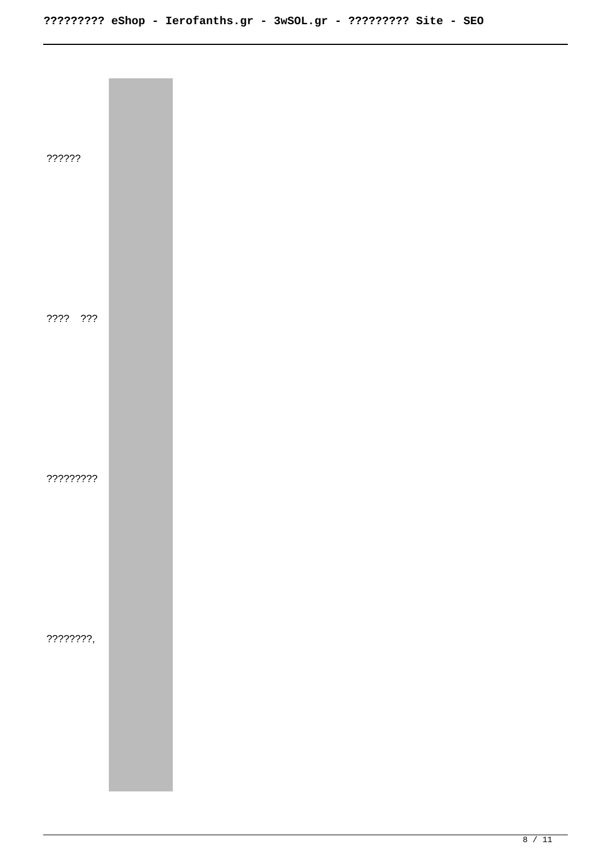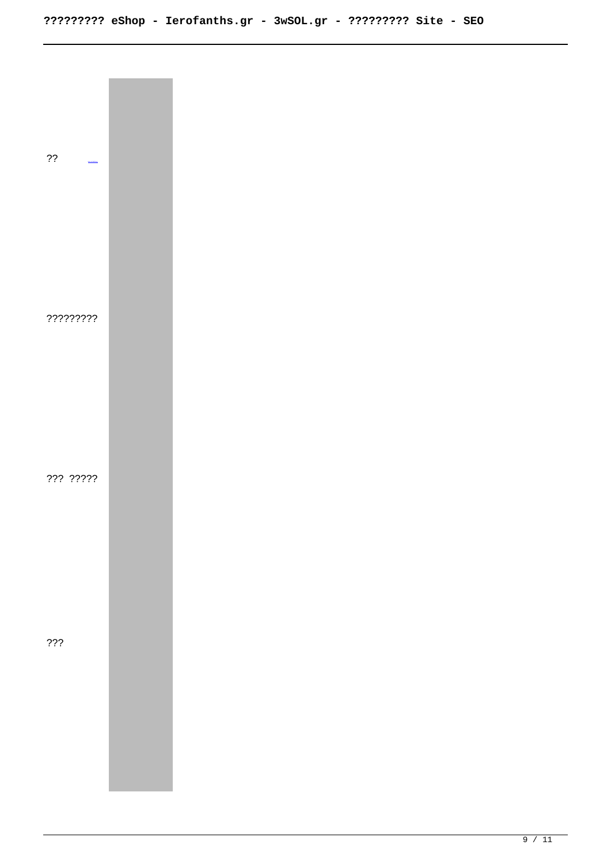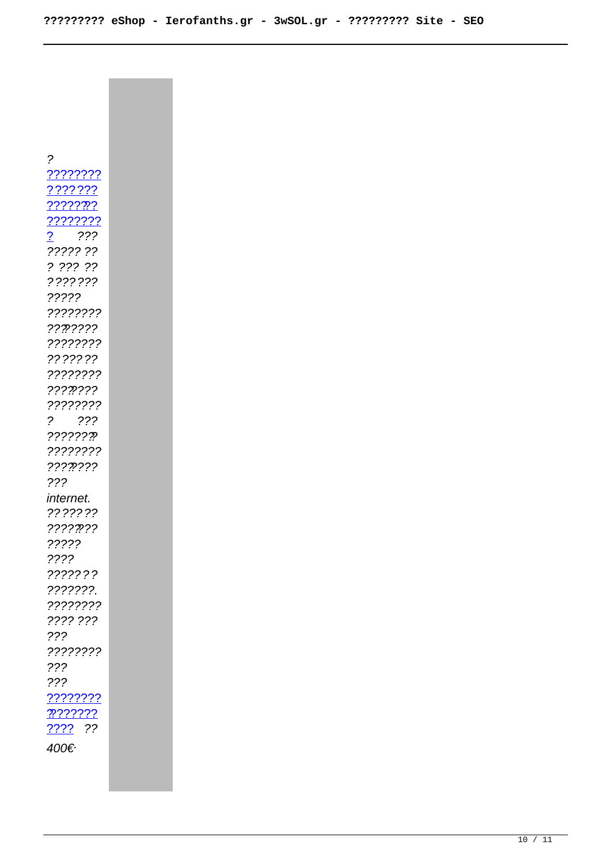$\tilde{?}$ ???????? ???????  $????????$ ????????  $\overline{2}$ ??? ????? ??  $? 222.22$ ??????? ????? ????????  $???????$ ???????? ??????? ???????? ??????? ????????  $? 722$  $???????$ ????????  $???????$ ??? internet. ??????? ??????? ????? ???? ??????? ??????? ???????? ???? ???  $222$ ???????? ???  $222$ ????????  $7222222$  $??\,\,?\,\,?\,?$  $400 \in \cdot$